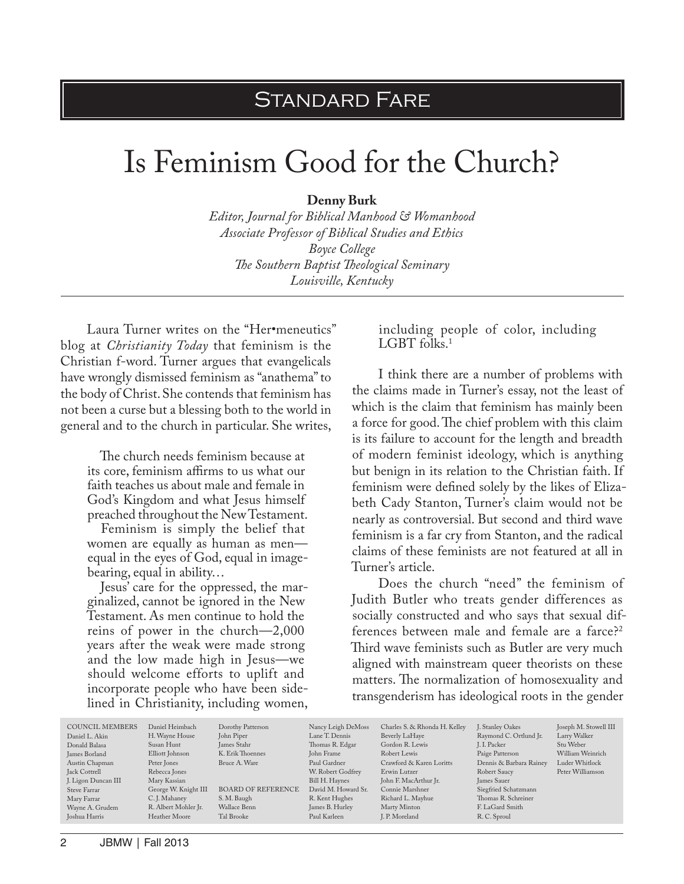## Standard Fare

## Is Feminism Good for the Church?

**Denny Burk**

*Editor, Journal for Biblical Manhood & Womanhood Associate Professor of Biblical Studies and Ethics Boyce College The Southern Baptist Theological Seminary Louisville, Kentucky*

Laura Turner writes on the "Her•meneutics" blog at *Christianity Today* that feminism is the Christian f-word. Turner argues that evangelicals have wrongly dismissed feminism as "anathema" to the body of Christ. She contends that feminism has not been a curse but a blessing both to the world in general and to the church in particular. She writes,

The church needs feminism because at its core, feminism affirms to us what our faith teaches us about male and female in God's Kingdom and what Jesus himself preached throughout the New Testament.

Feminism is simply the belief that women are equally as human as men equal in the eyes of God, equal in imagebearing, equal in ability…

Jesus' care for the oppressed, the marginalized, cannot be ignored in the New Testament. As men continue to hold the reins of power in the church—2,000 years after the weak were made strong and the low made high in Jesus—we should welcome efforts to uplift and incorporate people who have been sidelined in Christianity, including women, including people of color, including LGBT folks.<sup>1</sup>

I think there are a number of problems with the claims made in Turner's essay, not the least of which is the claim that feminism has mainly been a force for good. The chief problem with this claim is its failure to account for the length and breadth of modern feminist ideology, which is anything but benign in its relation to the Christian faith. If feminism were defined solely by the likes of Elizabeth Cady Stanton, Turner's claim would not be nearly as controversial. But second and third wave feminism is a far cry from Stanton, and the radical claims of these feminists are not featured at all in Turner's article.

Does the church "need" the feminism of Judith Butler who treats gender differences as socially constructed and who says that sexual differences between male and female are a farce?2 Third wave feminists such as Butler are very much aligned with mainstream queer theorists on these matters. The normalization of homosexuality and transgenderism has ideological roots in the gender

| <b>COUNCIL MEMBERS</b> | Daniel Heimbach      | Dorothy Patterson         | Nancy Leigh DeMoss  | Charles S. & Rhonda H. Kelley | J. Stanley Oakes        | Joseph M. Stowell III |
|------------------------|----------------------|---------------------------|---------------------|-------------------------------|-------------------------|-----------------------|
| Daniel L. Akin         | H. Wayne House       | John Piper                | Lane T. Dennis      | Beverly LaHaye                | Raymond C. Ortlund Jr.  | Larry Walker          |
| Donald Balasa          | Susan Hunt           | James Stahr               | Thomas R. Edgar     | Gordon R. Lewis               | J. I. Packer            | Stu Weber             |
| James Borland          | Elliott Johnson      | K. Erik Thoennes          | John Frame          | Robert Lewis                  | Paige Patterson         | William Weinrich      |
| Austin Chapman         | Peter Jones          | Bruce A. Ware             | Paul Gardner        | Crawford & Karen Loritts      | Dennis & Barbara Rainey | Luder Whitlock        |
| Jack Cottrell          | Rebecca Jones        |                           | W. Robert Godfrey   | Erwin Lutzer                  | Robert Saucy            | Peter Williamson      |
| J. Ligon Duncan III    | Mary Kassian         |                           | Bill H. Haynes      | John F. MacArthur Jr.         | James Sauer             |                       |
| Steve Farrar           | George W. Knight III | <b>BOARD OF REFERENCE</b> | David M. Howard Sr. | Connie Marshner               | Siegfried Schatzmann    |                       |
| Mary Farrar            | C. J. Mahaney        | S. M. Baugh               | R. Kent Hughes      | Richard L. Mayhue             | Thomas R. Schreiner     |                       |
| Wayne A. Grudem        | R. Albert Mohler Jr. | Wallace Benn              | James B. Hurley     | Marty Minton                  | F. LaGard Smith         |                       |
| Joshua Harris          | Heather Moore        | Tal Brooke                | Paul Karleen        | J. P. Moreland                | R.C. Sproul             |                       |